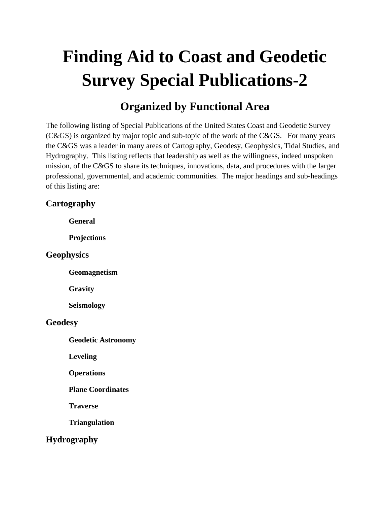# **Finding Aid to Coast and Geodetic Survey Special Publications-2**

## **Organized by Functional Area**

The following listing of Special Publications of the United States Coast and Geodetic Survey (C&GS) is organized by major topic and sub-topic of the work of the C&GS. For many years the C&GS was a leader in many areas of Cartography, Geodesy, Geophysics, Tidal Studies, and Hydrography. This listing reflects that leadership as well as the willingness, indeed unspoken mission, of the C&GS to share its techniques, innovations, data, and procedures with the larger professional, governmental, and academic communities. The major headings and sub-headings of this listing are:

#### **Cartography**

 **General** 

 **Projections** 

#### **Geophysics**

 **Geomagnetism** 

 **Gravity** 

 **Seismology** 

#### **Geodesy**

 **Geodetic Astronomy** 

 **Leveling** 

 **Operations** 

 **Plane Coordinates** 

 **Traverse** 

 **Triangulation** 

#### **Hydrography**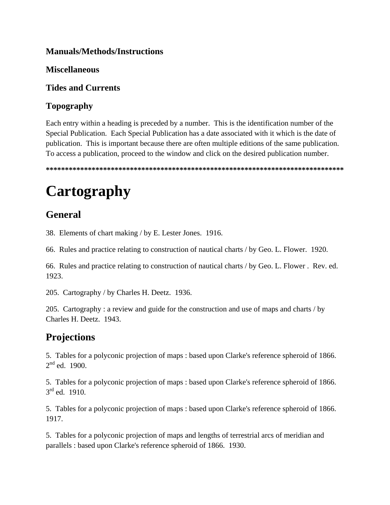#### **Manuals/Methods/Instructions**

#### **Miscellaneous**

#### **Tides and Currents**

#### **Topography**

Each entry within a heading is preceded by a number. This is the identification number of the Special Publication. Each Special Publication has a date associated with it which is the date of publication. This is important because there are often multiple editions of the same publication. To access a publication, proceed to the window and click on the desired publication number.

**\*\*\*\*\*\*\*\*\*\*\*\*\*\*\*\*\*\*\*\*\*\*\*\*\*\*\*\*\*\*\*\*\*\*\*\*\*\*\*\*\*\*\*\*\*\*\*\*\*\*\*\*\*\*\*\*\*\*\*\*\*\*\*\*\*\*\*\*\*\*\*\*\*\*\*\*\*\*** 

# **Cartography**

## **General**

38. Elements of chart making / by E. Lester Jones. 1916.

66. Rules and practice relating to construction of nautical charts / by Geo. L. Flower. 1920.

66. Rules and practice relating to construction of nautical charts / by Geo. L. Flower . Rev. ed. 1923.

205. Cartography / by Charles H. Deetz. 1936.

205. Cartography : a review and guide for the construction and use of maps and charts / by Charles H. Deetz. 1943.

### **Projections**

5. Tables for a polyconic projection of maps : based upon Clarke's reference spheroid of 1866.  $2^{nd}$  ed. 1900.

5. Tables for a polyconic projection of maps : based upon Clarke's reference spheroid of 1866.  $3<sup>rd</sup>$  ed. 1910.

5. Tables for a polyconic projection of maps : based upon Clarke's reference spheroid of 1866. 1917.

5. Tables for a polyconic projection of maps and lengths of terrestrial arcs of meridian and parallels : based upon Clarke's reference spheroid of 1866. 1930.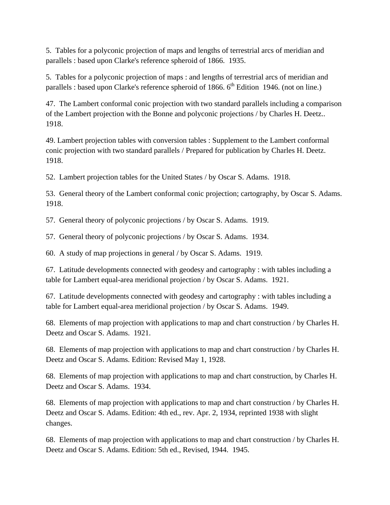5. Tables for a polyconic projection of maps and lengths of terrestrial arcs of meridian and parallels : based upon Clarke's reference spheroid of 1866. 1935.

5. Tables for a polyconic projection of maps : and lengths of terrestrial arcs of meridian and parallels : based upon Clarke's reference spheroid of 1866.  $6<sup>th</sup>$  Edition 1946. (not on line.)

47. The Lambert conformal conic projection with two standard parallels including a comparison of the Lambert projection with the Bonne and polyconic projections / by Charles H. Deetz.. 1918.

49. Lambert projection tables with conversion tables : Supplement to the Lambert conformal conic projection with two standard parallels / Prepared for publication by Charles H. Deetz. 1918.

52. Lambert projection tables for the United States / by Oscar S. Adams. 1918.

53. General theory of the Lambert conformal conic projection; cartography, by Oscar S. Adams. 1918.

57. General theory of polyconic projections / by Oscar S. Adams. 1919.

57. General theory of polyconic projections / by Oscar S. Adams. 1934.

60. A study of map projections in general / by Oscar S. Adams. 1919.

67. Latitude developments connected with geodesy and cartography : with tables including a table for Lambert equal-area meridional projection / by Oscar S. Adams. 1921.

67. Latitude developments connected with geodesy and cartography : with tables including a table for Lambert equal-area meridional projection / by Oscar S. Adams. 1949.

68. Elements of map projection with applications to map and chart construction / by Charles H. Deetz and Oscar S. Adams. 1921.

68. Elements of map projection with applications to map and chart construction / by Charles H. Deetz and Oscar S. Adams. Edition: Revised May 1, 1928.

68. Elements of map projection with applications to map and chart construction, by Charles H. Deetz and Oscar S. Adams. 1934.

68. Elements of map projection with applications to map and chart construction / by Charles H. Deetz and Oscar S. Adams. Edition: 4th ed., rev. Apr. 2, 1934, reprinted 1938 with slight changes.

68. Elements of map projection with applications to map and chart construction / by Charles H. Deetz and Oscar S. Adams. Edition: 5th ed., Revised, 1944. 1945.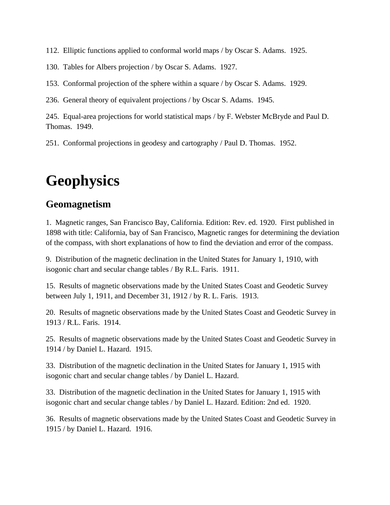112. Elliptic functions applied to conformal world maps / by Oscar S. Adams. 1925.

130. Tables for Albers projection / by Oscar S. Adams. 1927.

153. Conformal projection of the sphere within a square / by Oscar S. Adams. 1929.

236. General theory of equivalent projections / by Oscar S. Adams. 1945.

245. Equal-area projections for world statistical maps / by F. Webster McBryde and Paul D. Thomas. 1949.

251. Conformal projections in geodesy and cartography / Paul D. Thomas. 1952.

## **Geophysics**

#### **Geomagnetism**

1. Magnetic ranges, San Francisco Bay, California. Edition: Rev. ed. 1920. First published in 1898 with title: California, bay of San Francisco, Magnetic ranges for determining the deviation of the compass, with short explanations of how to find the deviation and error of the compass.

9. Distribution of the magnetic declination in the United States for January 1, 1910, with isogonic chart and secular change tables / By R.L. Faris. 1911.

15. Results of magnetic observations made by the United States Coast and Geodetic Survey between July 1, 1911, and December 31, 1912 / by R. L. Faris. 1913.

20. Results of magnetic observations made by the United States Coast and Geodetic Survey in 1913 / R.L. Faris. 1914.

25. Results of magnetic observations made by the United States Coast and Geodetic Survey in 1914 / by Daniel L. Hazard. 1915.

33. Distribution of the magnetic declination in the United States for January 1, 1915 with isogonic chart and secular change tables / by Daniel L. Hazard.

33. Distribution of the magnetic declination in the United States for January 1, 1915 with isogonic chart and secular change tables / by Daniel L. Hazard. Edition: 2nd ed. 1920.

36. Results of magnetic observations made by the United States Coast and Geodetic Survey in 1915 / by Daniel L. Hazard. 1916.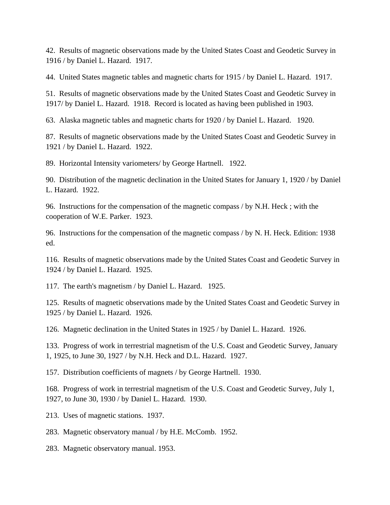42. Results of magnetic observations made by the United States Coast and Geodetic Survey in 1916 / by Daniel L. Hazard. 1917.

44. United States magnetic tables and magnetic charts for 1915 / by Daniel L. Hazard. 1917.

51. Results of magnetic observations made by the United States Coast and Geodetic Survey in 1917/ by Daniel L. Hazard. 1918. Record is located as having been published in 1903.

63. Alaska magnetic tables and magnetic charts for 1920 / by Daniel L. Hazard. 1920.

87. Results of magnetic observations made by the United States Coast and Geodetic Survey in 1921 / by Daniel L. Hazard. 1922.

89. Horizontal Intensity variometers/ by George Hartnell. 1922.

90. Distribution of the magnetic declination in the United States for January 1, 1920 / by Daniel L. Hazard. 1922.

96. Instructions for the compensation of the magnetic compass / by N.H. Heck ; with the cooperation of W.E. Parker. 1923.

96. Instructions for the compensation of the magnetic compass / by N. H. Heck. Edition: 1938 ed.

116. Results of magnetic observations made by the United States Coast and Geodetic Survey in 1924 / by Daniel L. Hazard. 1925.

117. The earth's magnetism / by Daniel L. Hazard. 1925.

125. Results of magnetic observations made by the United States Coast and Geodetic Survey in 1925 / by Daniel L. Hazard. 1926.

126. Magnetic declination in the United States in 1925 / by Daniel L. Hazard. 1926.

133. Progress of work in terrestrial magnetism of the U.S. Coast and Geodetic Survey, January 1, 1925, to June 30, 1927 / by N.H. Heck and D.L. Hazard. 1927.

157. Distribution coefficients of magnets / by George Hartnell. 1930.

168. Progress of work in terrestrial magnetism of the U.S. Coast and Geodetic Survey, July 1, 1927, to June 30, 1930 / by Daniel L. Hazard. 1930.

213. Uses of magnetic stations. 1937.

283. Magnetic observatory manual / by H.E. McComb. 1952.

283. Magnetic observatory manual. 1953.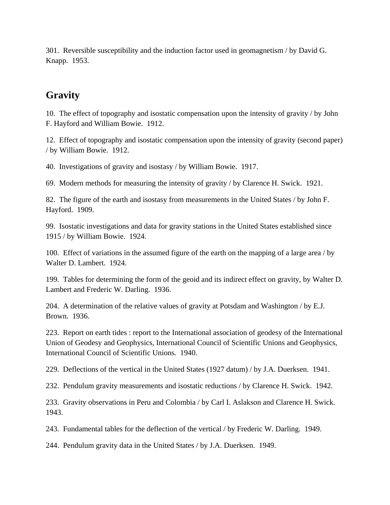301. Reversible susceptibility and the induction factor used in geomagnetism / by David G. Knapp. 1953.

### **Gravity**

10. The effect of topography and isostatic compensation upon the intensity of gravity / by John F. Hayford and William Bowie. 1912.

12. Effect of topography and isostatic compensation upon the intensity of gravity (second paper) / by William Bowie. 1912.

40. Investigations of gravity and isostasy / by William Bowie. 1917.

69. Modern methods for measuring the intensity of gravity / by Clarence H. Swick. 1921.

82. The figure of the earth and isostasy from measurements in the United States / by John F. Hayford. 1909.

99. Isostatic investigations and data for gravity stations in the United States established since 1915 / by William Bowie. 1924.

100. Effect of variations in the assumed figure of the earth on the mapping of a large area / by Walter D. Lambert. 1924.

199. Tables for determining the form of the geoid and its indirect effect on gravity, by Walter D. Lambert and Frederic W. Darling. 1936.

204. A determination of the relative values of gravity at Potsdam and Washington / by E.J. Brown. 1936.

223. Report on earth tides : report to the International association of geodesy of the International Union of Geodesy and Geophysics, International Council of Scientific Unions and Geophysics, International Council of Scientific Unions. 1940.

229. Deflections of the vertical in the United States (1927 datum) / by J.A. Duerksen. 1941.

232. Pendulum gravity measurements and isostatic reductions / by Clarence H. Swick. 1942.

233. Gravity observations in Peru and Colombia / by Carl I. Aslakson and Clarence H. Swick. 1943.

243. Fundamental tables for the deflection of the vertical / by Frederic W. Darling. 1949.

244. Pendulum gravity data in the United States / by J.A. Duerksen. 1949.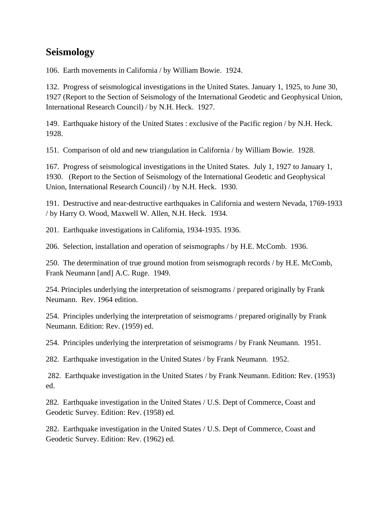### **Seismology**

106. Earth movements in California / by William Bowie. 1924.

132. Progress of seismological investigations in the United States. January 1, 1925, to June 30, 1927 (Report to the Section of Seismology of the International Geodetic and Geophysical Union, International Research Council) / by N.H. Heck. 1927.

149. Earthquake history of the United States : exclusive of the Pacific region / by N.H. Heck. 1928.

151. Comparison of old and new triangulation in California / by William Bowie. 1928.

167. Progress of seismological investigations in the United States. July 1, 1927 to January 1, 1930. (Report to the Section of Seismology of the International Geodetic and Geophysical Union, International Research Council) / by N.H. Heck. 1930.

191. Destructive and near-destructive earthquakes in California and western Nevada, 1769-1933 / by Harry O. Wood, Maxwell W. Allen, N.H. Heck. 1934.

201. Earthquake investigations in California, 1934-1935. 1936.

206. Selection, installation and operation of seismographs / by H.E. McComb. 1936.

250. The determination of true ground motion from seismograph records / by H.E. McComb, Frank Neumann [and] A.C. Ruge. 1949.

254. Principles underlying the interpretation of seismograms / prepared originally by Frank Neumann. Rev. 1964 edition.

254. Principles underlying the interpretation of seismograms / prepared originally by Frank Neumann. Edition: Rev. (1959) ed.

254. Principles underlying the interpretation of seismograms / by Frank Neumann. 1951.

282. Earthquake investigation in the United States / by Frank Neumann. 1952.

 282.Earthquake investigation in the United States / by Frank Neumann. Edition: Rev. (1953) ed.

282. Earthquake investigation in the United States / U.S. Dept of Commerce, Coast and Geodetic Survey. Edition: Rev. (1958) ed.

282. Earthquake investigation in the United States / U.S. Dept of Commerce, Coast and Geodetic Survey. Edition: Rev. (1962) ed.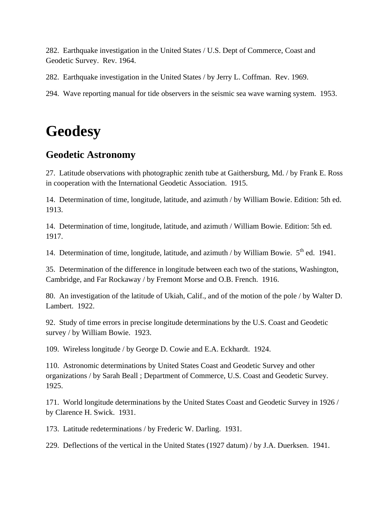282. Earthquake investigation in the United States / U.S. Dept of Commerce, Coast and Geodetic Survey. Rev. 1964.

282. Earthquake investigation in the United States / by Jerry L. Coffman. Rev. 1969.

294. Wave reporting manual for tide observers in the seismic sea wave warning system. 1953.

## **Geodesy**

### **Geodetic Astronomy**

27. Latitude observations with photographic zenith tube at Gaithersburg, Md. / by Frank E. Ross in cooperation with the International Geodetic Association. 1915.

14. Determination of time, longitude, latitude, and azimuth / by William Bowie. Edition: 5th ed. 1913.

14. Determination of time, longitude, latitude, and azimuth / William Bowie. Edition: 5th ed. 1917.

14. Determination of time, longitude, latitude, and azimuth / by William Bowie.  $5<sup>th</sup>$  ed. 1941.

35. Determination of the difference in longitude between each two of the stations, Washington, Cambridge, and Far Rockaway / by Fremont Morse and O.B. French. 1916.

80. An investigation of the latitude of Ukiah, Calif., and of the motion of the pole / by Walter D. Lambert. 1922.

92. Study of time errors in precise longitude determinations by the U.S. Coast and Geodetic survey / by William Bowie. 1923.

109. Wireless longitude / by George D. Cowie and E.A. Eckhardt. 1924.

110. Astronomic determinations by United States Coast and Geodetic Survey and other organizations / by Sarah Beall ; Department of Commerce, U.S. Coast and Geodetic Survey. 1925.

171. World longitude determinations by the United States Coast and Geodetic Survey in 1926 / by Clarence H. Swick. 1931.

173. Latitude redeterminations / by Frederic W. Darling. 1931.

229. Deflections of the vertical in the United States (1927 datum) / by J.A. Duerksen. 1941.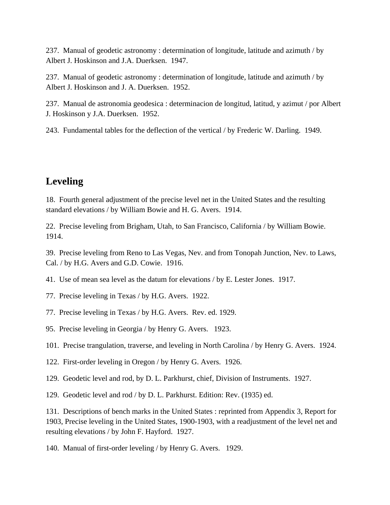237. Manual of geodetic astronomy : determination of longitude, latitude and azimuth / by Albert J. Hoskinson and J.A. Duerksen. 1947.

237. Manual of geodetic astronomy : determination of longitude, latitude and azimuth / by Albert J. Hoskinson and J. A. Duerksen. 1952.

237. Manual de astronomia geodesica : determinacion de longitud, latitud, y azimut / por Albert J. Hoskinson y J.A. Duerksen. 1952.

243. Fundamental tables for the deflection of the vertical / by Frederic W. Darling. 1949.

## **Leveling**

18. Fourth general adjustment of the precise level net in the United States and the resulting standard elevations / by William Bowie and H. G. Avers. 1914.

22. Precise leveling from Brigham, Utah, to San Francisco, California / by William Bowie. 1914.

39. Precise leveling from Reno to Las Vegas, Nev. and from Tonopah Junction, Nev. to Laws, Cal. / by H.G. Avers and G.D. Cowie. 1916.

41. Use of mean sea level as the datum for elevations / by E. Lester Jones. 1917.

77. Precise leveling in Texas / by H.G. Avers. 1922.

77. Precise leveling in Texas / by H.G. Avers. Rev. ed. 1929.

95. Precise leveling in Georgia / by Henry G. Avers. 1923.

101. Precise trangulation, traverse, and leveling in North Carolina / by Henry G. Avers. 1924.

122. First-order leveling in Oregon / by Henry G. Avers. 1926.

129. Geodetic level and rod, by D. L. Parkhurst, chief, Division of Instruments. 1927.

129. Geodetic level and rod / by D. L. Parkhurst. Edition: Rev. (1935) ed.

131. Descriptions of bench marks in the United States : reprinted from Appendix 3, Report for 1903, Precise leveling in the United States, 1900-1903, with a readjustment of the level net and resulting elevations / by John F. Hayford. 1927.

140. Manual of first-order leveling / by Henry G. Avers. 1929.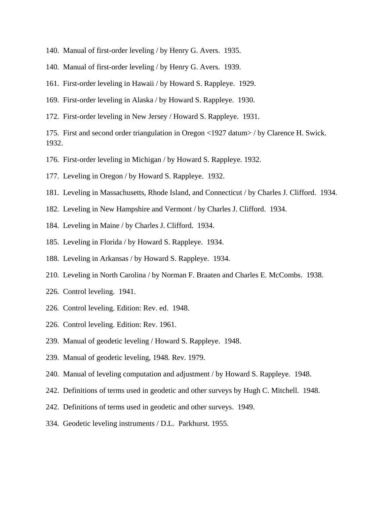- 140. Manual of first-order leveling / by Henry G. Avers. 1935.
- 140. Manual of first-order leveling / by Henry G. Avers. 1939.
- 161. First-order leveling in Hawaii / by Howard S. Rappleye. 1929.
- 169. First-order leveling in Alaska / by Howard S. Rappleye. 1930.
- 172. First-order leveling in New Jersey / Howard S. Rappleye. 1931.

175. First and second order triangulation in Oregon <1927 datum> / by Clarence H. Swick. 1932.

- 176. First-order leveling in Michigan / by Howard S. Rappleye. 1932.
- 177. Leveling in Oregon / by Howard S. Rappleye. 1932.
- 181. Leveling in Massachusetts, Rhode Island, and Connecticut / by Charles J. Clifford. 1934.
- 182. Leveling in New Hampshire and Vermont / by Charles J. Clifford. 1934.
- 184. Leveling in Maine / by Charles J. Clifford. 1934.
- 185. Leveling in Florida / by Howard S. Rappleye. 1934.
- 188. Leveling in Arkansas / by Howard S. Rappleye. 1934.
- 210. Leveling in North Carolina / by Norman F. Braaten and Charles E. McCombs. 1938.
- 226. Control leveling. 1941.
- 226. Control leveling. Edition: Rev. ed. 1948.
- 226. Control leveling. Edition: Rev. 1961.
- 239. Manual of geodetic leveling / Howard S. Rappleye. 1948.
- 239. Manual of geodetic leveling, 1948. Rev. 1979.
- 240. Manual of leveling computation and adjustment / by Howard S. Rappleye. 1948.
- 242. Definitions of terms used in geodetic and other surveys by Hugh C. Mitchell. 1948.
- 242. Definitions of terms used in geodetic and other surveys. 1949.
- 334. Geodetic leveling instruments / D.L. Parkhurst. 1955.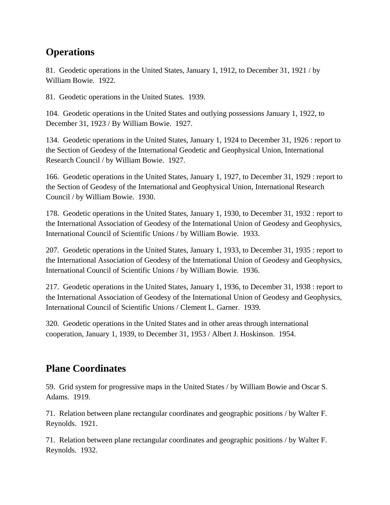## **Operations**

81. Geodetic operations in the United States, January 1, 1912, to December 31, 1921 / by William Bowie. 1922.

81. Geodetic operations in the United States. 1939.

104. Geodetic operations in the United States and outlying possessions January 1, 1922, to December 31, 1923 / By William Bowie. 1927.

134. Geodetic operations in the United States, January 1, 1924 to December 31, 1926 : report to the Section of Geodesy of the International Geodetic and Geophysical Union, International Research Council / by William Bowie. 1927.

166. Geodetic operations in the United States, January 1, 1927, to December 31, 1929 : report to the Section of Geodesy of the International and Geophysical Union, International Research Council / by William Bowie. 1930.

178. Geodetic operations in the United States, January 1, 1930, to December 31, 1932 : report to the International Association of Geodesy of the International Union of Geodesy and Geophysics, International Council of Scientific Unions / by William Bowie. 1933.

207. Geodetic operations in the United States, January 1, 1933, to December 31, 1935 : report to the International Association of Geodesy of the International Union of Geodesy and Geophysics, International Council of Scientific Unions / by William Bowie. 1936.

217. Geodetic operations in the United States, January 1, 1936, to December 31, 1938 : report to the International Association of Geodesy of the International Union of Geodesy and Geophysics, International Council of Scientific Unions / Clement L. Garner. 1939.

320. Geodetic operations in the United States and in other areas through international cooperation, January 1, 1939, to December 31, 1953 / Albert J. Hoskinson. 1954.

## **Plane Coordinates**

59. Grid system for progressive maps in the United States / by William Bowie and Oscar S. Adams. 1919.

71. Relation between plane rectangular coordinates and geographic positions / by Walter F. Reynolds. 1921.

71. Relation between plane rectangular coordinates and geographic positions / by Walter F. Reynolds. 1932.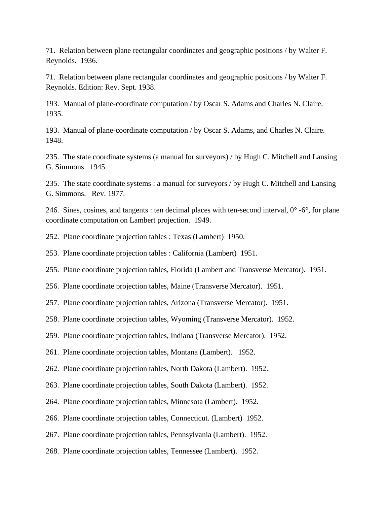71. Relation between plane rectangular coordinates and geographic positions / by Walter F. Reynolds. 1936.

71. Relation between plane rectangular coordinates and geographic positions / by Walter F. Reynolds. Edition: Rev. Sept. 1938.

193. Manual of plane-coordinate computation / by Oscar S. Adams and Charles N. Claire. 1935.

193. Manual of plane-coordinate computation / by Oscar S. Adams, and Charles N. Claire. 1948.

235. The state coordinate systems (a manual for surveyors) / by Hugh C. Mitchell and Lansing G. Simmons. 1945.

235. The state coordinate systems : a manual for surveyors / by Hugh C. Mitchell and Lansing G. Simmons. Rev. 1977.

246. Sines, cosines, and tangents : ten decimal places with ten-second interval,  $0^{\circ}$  -6°, for plane coordinate computation on Lambert projection. 1949.

252. Plane coordinate projection tables : Texas (Lambert) 1950.

253. Plane coordinate projection tables : California (Lambert) 1951.

255. Plane coordinate projection tables, Florida (Lambert and Transverse Mercator). 1951.

256. Plane coordinate projection tables, Maine (Transverse Mercator). 1951.

257. Plane coordinate projection tables, Arizona (Transverse Mercator). 1951.

258. Plane coordinate projection tables, Wyoming (Transverse Mercator). 1952.

259. Plane coordinate projection tables, Indiana (Transverse Mercator). 1952.

261. Plane coordinate projection tables, Montana (Lambert). 1952.

262. Plane coordinate projection tables, North Dakota (Lambert). 1952.

263. Plane coordinate projection tables, South Dakota (Lambert). 1952.

264. Plane coordinate projection tables, Minnesota (Lambert). 1952.

266. Plane coordinate projection tables, Connecticut. (Lambert) 1952.

267. Plane coordinate projection tables, Pennsylvania (Lambert). 1952.

268. Plane coordinate projection tables, Tennessee (Lambert). 1952.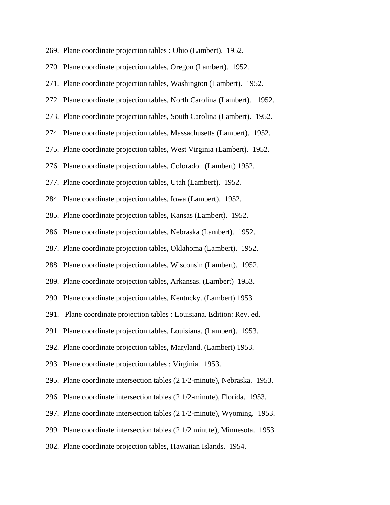| 269. Plane coordinate projection tables : Ohio (Lambert). 1952. |  |  |  |  |  |  |  |
|-----------------------------------------------------------------|--|--|--|--|--|--|--|
|-----------------------------------------------------------------|--|--|--|--|--|--|--|

270. Plane coordinate projection tables, Oregon (Lambert). 1952.

271. Plane coordinate projection tables, Washington (Lambert). 1952.

272. Plane coordinate projection tables, North Carolina (Lambert). 1952.

273. Plane coordinate projection tables, South Carolina (Lambert). 1952.

274. Plane coordinate projection tables, Massachusetts (Lambert). 1952.

275. Plane coordinate projection tables, West Virginia (Lambert). 1952.

276. Plane coordinate projection tables, Colorado. (Lambert) 1952.

277. Plane coordinate projection tables, Utah (Lambert). 1952.

284. Plane coordinate projection tables, Iowa (Lambert). 1952.

285. Plane coordinate projection tables, Kansas (Lambert). 1952.

286. Plane coordinate projection tables, Nebraska (Lambert). 1952.

287. Plane coordinate projection tables, Oklahoma (Lambert). 1952.

288. Plane coordinate projection tables, Wisconsin (Lambert). 1952.

289. Plane coordinate projection tables, Arkansas. (Lambert) 1953.

290. Plane coordinate projection tables, Kentucky. (Lambert) 1953.

291. Plane coordinate projection tables : Louisiana. Edition: Rev. ed.

291. Plane coordinate projection tables, Louisiana. (Lambert). 1953.

292. Plane coordinate projection tables, Maryland. (Lambert) 1953.

293. Plane coordinate projection tables : Virginia. 1953.

295. Plane coordinate intersection tables (2 1/2-minute), Nebraska. 1953.

296. Plane coordinate intersection tables (2 1/2-minute), Florida. 1953.

297. Plane coordinate intersection tables (2 1/2-minute), Wyoming. 1953.

299. Plane coordinate intersection tables (2 1/2 minute), Minnesota. 1953.

302. Plane coordinate projection tables, Hawaiian Islands. 1954.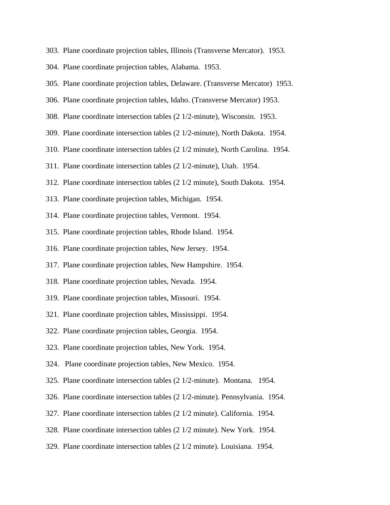- 303. Plane coordinate projection tables, Illinois (Transverse Mercator). 1953.
- 304. Plane coordinate projection tables, Alabama. 1953.
- 305. Plane coordinate projection tables, Delaware. (Transverse Mercator) 1953.
- 306. Plane coordinate projection tables, Idaho. (Transverse Mercator) 1953.
- 308. Plane coordinate intersection tables (2 1/2-minute), Wisconsin. 1953.
- 309. Plane coordinate intersection tables (2 1/2-minute), North Dakota. 1954.
- 310. Plane coordinate intersection tables (2 1/2 minute), North Carolina. 1954.
- 311. Plane coordinate intersection tables (2 1/2-minute), Utah. 1954.
- 312. Plane coordinate intersection tables (2 1/2 minute), South Dakota. 1954.
- 313. Plane coordinate projection tables, Michigan. 1954.
- 314. Plane coordinate projection tables, Vermont. 1954.
- 315. Plane coordinate projection tables, Rhode Island. 1954.
- 316. Plane coordinate projection tables, New Jersey. 1954.
- 317. Plane coordinate projection tables, New Hampshire. 1954.
- 318. Plane coordinate projection tables, Nevada. 1954.
- 319. Plane coordinate projection tables, Missouri. 1954.
- 321. Plane coordinate projection tables, Mississippi. 1954.
- 322. Plane coordinate projection tables, Georgia. 1954.
- 323. Plane coordinate projection tables, New York. 1954.
- 324. Plane coordinate projection tables, New Mexico. 1954.
- 325. Plane coordinate intersection tables (2 1/2-minute). Montana. 1954.
- 326. Plane coordinate intersection tables (2 1/2-minute). Pennsylvania. 1954.
- 327. Plane coordinate intersection tables (2 1/2 minute). California. 1954.
- 328. Plane coordinate intersection tables (2 1/2 minute). New York. 1954.
- 329. Plane coordinate intersection tables (2 1/2 minute). Louisiana. 1954.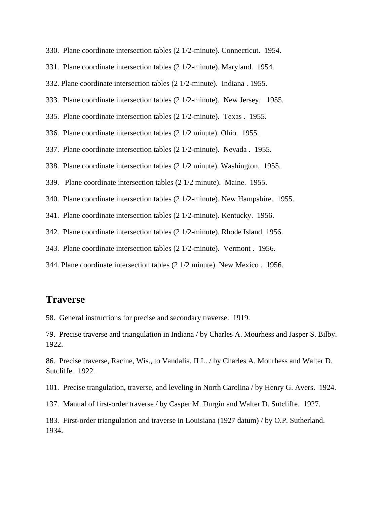- 330. Plane coordinate intersection tables (2 1/2-minute). Connecticut. 1954.
- 331. Plane coordinate intersection tables (2 1/2-minute). Maryland. 1954.
- 332. Plane coordinate intersection tables (2 1/2-minute). Indiana . 1955.
- 333. Plane coordinate intersection tables (2 1/2-minute). New Jersey. 1955.
- 335. Plane coordinate intersection tables (2 1/2-minute). Texas . 1955.
- 336. Plane coordinate intersection tables (2 1/2 minute). Ohio. 1955.
- 337. Plane coordinate intersection tables (2 1/2-minute). Nevada . 1955.
- 338. Plane coordinate intersection tables (2 1/2 minute). Washington. 1955.
- 339. Plane coordinate intersection tables (2 1/2 minute). Maine. 1955.
- 340. Plane coordinate intersection tables (2 1/2-minute). New Hampshire. 1955.
- 341. Plane coordinate intersection tables (2 1/2-minute). Kentucky. 1956.
- 342. Plane coordinate intersection tables (2 1/2-minute). Rhode Island. 1956.
- 343. Plane coordinate intersection tables (2 1/2-minute). Vermont . 1956.
- 344. Plane coordinate intersection tables (2 1/2 minute). New Mexico . 1956.

#### **Traverse**

58. General instructions for precise and secondary traverse. 1919.

79. Precise traverse and triangulation in Indiana / by Charles A. Mourhess and Jasper S. Bilby. 1922.

86. Precise traverse, Racine, Wis., to Vandalia, ILL. / by Charles A. Mourhess and Walter D. Sutcliffe. 1922.

101. Precise trangulation, traverse, and leveling in North Carolina / by Henry G. Avers. 1924.

- 137. Manual of first-order traverse / by Casper M. Durgin and Walter D. Sutcliffe. 1927.
- 183. First-order triangulation and traverse in Louisiana (1927 datum) / by O.P. Sutherland. 1934.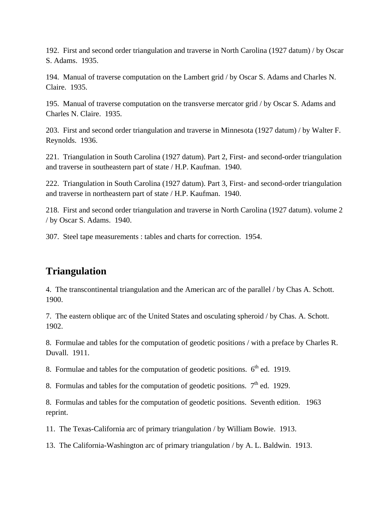192. First and second order triangulation and traverse in North Carolina (1927 datum) / by Oscar S. Adams. 1935.

194. Manual of traverse computation on the Lambert grid / by Oscar S. Adams and Charles N. Claire. 1935.

195. Manual of traverse computation on the transverse mercator grid / by Oscar S. Adams and Charles N. Claire. 1935.

203. First and second order triangulation and traverse in Minnesota (1927 datum) / by Walter F. Reynolds. 1936.

221. Triangulation in South Carolina (1927 datum). Part 2, First- and second-order triangulation and traverse in southeastern part of state / H.P. Kaufman. 1940.

222. Triangulation in South Carolina (1927 datum). Part 3, First- and second-order triangulation and traverse in northeastern part of state / H.P. Kaufman. 1940.

218. First and second order triangulation and traverse in North Carolina (1927 datum). volume 2 / by Oscar S. Adams. 1940.

307. Steel tape measurements : tables and charts for correction. 1954.

### **Triangulation**

4. The transcontinental triangulation and the American arc of the parallel / by Chas A. Schott. 1900.

7. The eastern oblique arc of the United States and osculating spheroid / by Chas. A. Schott. 1902.

8. Formulae and tables for the computation of geodetic positions / with a preface by Charles R. Duvall. 1911.

8. Formulae and tables for the computation of geodetic positions.  $6<sup>th</sup>$  ed. 1919.

8. Formulas and tables for the computation of geodetic positions.  $7<sup>th</sup>$  ed. 1929.

8. Formulas and tables for the computation of geodetic positions. Seventh edition. 1963 reprint.

11. The Texas-California arc of primary triangulation / by William Bowie. 1913.

13. The California-Washington arc of primary triangulation / by A. L. Baldwin. 1913.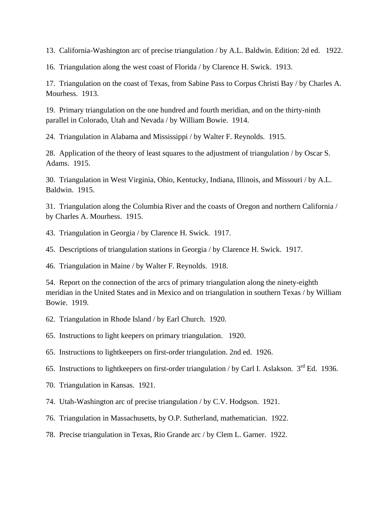13. California-Washington arc of precise triangulation / by A.L. Baldwin. Edition: 2d ed. 1922.

16. Triangulation along the west coast of Florida / by Clarence H. Swick. 1913.

17. Triangulation on the coast of Texas, from Sabine Pass to Corpus Christi Bay / by Charles A. Mourhess. 1913.

19. Primary triangulation on the one hundred and fourth meridian, and on the thirty-ninth parallel in Colorado, Utah and Nevada / by William Bowie. 1914.

24. Triangulation in Alabama and Mississippi / by Walter F. Reynolds. 1915.

28. Application of the theory of least squares to the adjustment of triangulation / by Oscar S. Adams. 1915.

30. Triangulation in West Virginia, Ohio, Kentucky, Indiana, Illinois, and Missouri / by A.L. Baldwin. 1915.

31. Triangulation along the Columbia River and the coasts of Oregon and northern California / by Charles A. Mourhess. 1915.

43. Triangulation in Georgia / by Clarence H. Swick. 1917.

45. Descriptions of triangulation stations in Georgia / by Clarence H. Swick. 1917.

46. Triangulation in Maine / by Walter F. Reynolds. 1918.

54. Report on the connection of the arcs of primary triangulation along the ninety-eighth meridian in the United States and in Mexico and on triangulation in southern Texas / by William Bowie. 1919.

62. Triangulation in Rhode Island / by Earl Church. 1920.

65. Instructions to light keepers on primary triangulation. 1920.

65. Instructions to lightkeepers on first-order triangulation. 2nd ed. 1926.

65. Instructions to lightkeepers on first-order triangulation / by Carl I. Aslakson.  $3<sup>rd</sup>$  Ed. 1936.

70. Triangulation in Kansas. 1921.

74. Utah-Washington arc of precise triangulation / by C.V. Hodgson. 1921.

76. Triangulation in Massachusetts, by O.P. Sutherland, mathematician. 1922.

78. Precise triangulation in Texas, Rio Grande arc / by Clem L. Garner. 1922.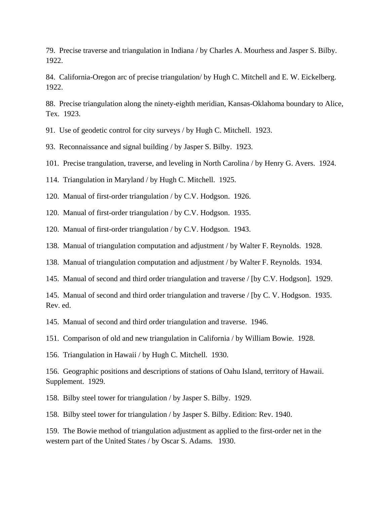79. Precise traverse and triangulation in Indiana / by Charles A. Mourhess and Jasper S. Bilby. 1922.

84. California-Oregon arc of precise triangulation/ by Hugh C. Mitchell and E. W. Eickelberg. 1922.

88. Precise triangulation along the ninety-eighth meridian, Kansas-Oklahoma boundary to Alice, Tex. 1923.

91. Use of geodetic control for city surveys / by Hugh C. Mitchell. 1923.

93. Reconnaissance and signal building / by Jasper S. Bilby. 1923.

101. Precise trangulation, traverse, and leveling in North Carolina / by Henry G. Avers. 1924.

114. Triangulation in Maryland / by Hugh C. Mitchell. 1925.

120. Manual of first-order triangulation / by C.V. Hodgson. 1926.

120. Manual of first-order triangulation / by C.V. Hodgson. 1935.

120. Manual of first-order triangulation / by C.V. Hodgson. 1943.

138. Manual of triangulation computation and adjustment / by Walter F. Reynolds. 1928.

138. Manual of triangulation computation and adjustment / by Walter F. Reynolds. 1934.

145. Manual of second and third order triangulation and traverse / [by C.V. Hodgson]. 1929.

145. Manual of second and third order triangulation and traverse / [by C. V. Hodgson. 1935. Rev. ed.

145. Manual of second and third order triangulation and traverse. 1946.

151. Comparison of old and new triangulation in California / by William Bowie. 1928.

156. Triangulation in Hawaii / by Hugh C. Mitchell. 1930.

156. Geographic positions and descriptions of stations of Oahu Island, territory of Hawaii. Supplement. 1929.

158. Bilby steel tower for triangulation / by Jasper S. Bilby. 1929.

158. Bilby steel tower for triangulation / by Jasper S. Bilby. Edition: Rev. 1940.

159. The Bowie method of triangulation adjustment as applied to the first-order net in the western part of the United States / by Oscar S. Adams. 1930.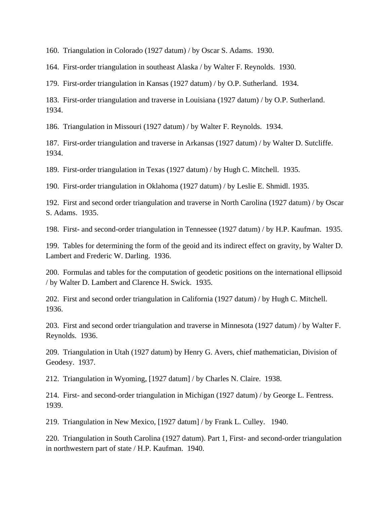160. Triangulation in Colorado (1927 datum) / by Oscar S. Adams. 1930.

164. First-order triangulation in southeast Alaska / by Walter F. Reynolds. 1930.

179. First-order triangulation in Kansas (1927 datum) / by O.P. Sutherland. 1934.

183. First-order triangulation and traverse in Louisiana (1927 datum) / by O.P. Sutherland. 1934.

186. Triangulation in Missouri (1927 datum) / by Walter F. Reynolds. 1934.

187. First-order triangulation and traverse in Arkansas (1927 datum) / by Walter D. Sutcliffe. 1934.

189. First-order triangulation in Texas (1927 datum) / by Hugh C. Mitchell. 1935.

190. First-order triangulation in Oklahoma (1927 datum) / by Leslie E. Shmidl. 1935.

192. First and second order triangulation and traverse in North Carolina (1927 datum) / by Oscar S. Adams. 1935.

198. First- and second-order triangulation in Tennessee (1927 datum) / by H.P. Kaufman. 1935.

199. Tables for determining the form of the geoid and its indirect effect on gravity, by Walter D. Lambert and Frederic W. Darling. 1936.

200. Formulas and tables for the computation of geodetic positions on the international ellipsoid / by Walter D. Lambert and Clarence H. Swick. 1935.

202. First and second order triangulation in California (1927 datum) / by Hugh C. Mitchell. 1936.

203. First and second order triangulation and traverse in Minnesota (1927 datum) / by Walter F. Reynolds. 1936.

209. Triangulation in Utah (1927 datum) by Henry G. Avers, chief mathematician, Division of Geodesy. 1937.

212. Triangulation in Wyoming, [1927 datum] / by Charles N. Claire. 1938.

214. First- and second-order triangulation in Michigan (1927 datum) / by George L. Fentress. 1939.

219. Triangulation in New Mexico, [1927 datum] / by Frank L. Culley. 1940.

220. Triangulation in South Carolina (1927 datum). Part 1, First- and second-order triangulation in northwestern part of state / H.P. Kaufman. 1940.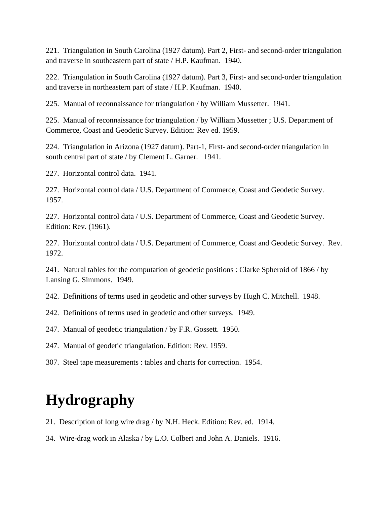221. Triangulation in South Carolina (1927 datum). Part 2, First- and second-order triangulation and traverse in southeastern part of state / H.P. Kaufman. 1940.

222. Triangulation in South Carolina (1927 datum). Part 3, First- and second-order triangulation and traverse in northeastern part of state / H.P. Kaufman. 1940.

225. Manual of reconnaissance for triangulation / by William Mussetter. 1941.

225. Manual of reconnaissance for triangulation / by William Mussetter ; U.S. Department of Commerce, Coast and Geodetic Survey. Edition: Rev ed. 1959.

224. Triangulation in Arizona (1927 datum). Part-1, First- and second-order triangulation in south central part of state / by Clement L. Garner. 1941.

227. Horizontal control data. 1941.

227. Horizontal control data / U.S. Department of Commerce, Coast and Geodetic Survey. 1957.

227. Horizontal control data / U.S. Department of Commerce, Coast and Geodetic Survey. Edition: Rev. (1961).

227. Horizontal control data / U.S. Department of Commerce, Coast and Geodetic Survey. Rev. 1972.

241. Natural tables for the computation of geodetic positions : Clarke Spheroid of 1866 / by Lansing G. Simmons. 1949.

242. Definitions of terms used in geodetic and other surveys by Hugh C. Mitchell. 1948.

242. Definitions of terms used in geodetic and other surveys. 1949.

247. Manual of geodetic triangulation / by F.R. Gossett. 1950.

247. Manual of geodetic triangulation. Edition: Rev. 1959.

307. Steel tape measurements : tables and charts for correction. 1954.

# **Hydrography**

- 21. Description of long wire drag / by N.H. Heck. Edition: Rev. ed. 1914.
- 34. Wire-drag work in Alaska / by L.O. Colbert and John A. Daniels. 1916.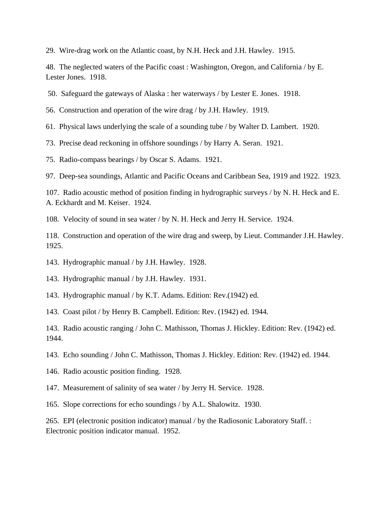29. Wire-drag work on the Atlantic coast, by N.H. Heck and J.H. Hawley. 1915.

48. The neglected waters of the Pacific coast : Washington, Oregon, and California / by E. Lester Jones. 1918.

50. Safeguard the gateways of Alaska : her waterways / by Lester E. Jones. 1918.

56. Construction and operation of the wire drag / by J.H. Hawley. 1919.

61. Physical laws underlying the scale of a sounding tube / by Walter D. Lambert. 1920.

73. Precise dead reckoning in offshore soundings / by Harry A. Seran. 1921.

75. Radio-compass bearings / by Oscar S. Adams. 1921.

97. Deep-sea soundings, Atlantic and Pacific Oceans and Caribbean Sea, 1919 and 1922. 1923.

107. Radio acoustic method of position finding in hydrographic surveys / by N. H. Heck and E. A. Eckhardt and M. Keiser. 1924.

108. Velocity of sound in sea water / by N. H. Heck and Jerry H. Service. 1924.

118. Construction and operation of the wire drag and sweep, by Lieut. Commander J.H. Hawley. 1925.

143. Hydrographic manual / by J.H. Hawley. 1928.

143. Hydrographic manual / by J.H. Hawley. 1931.

143. Hydrographic manual / by K.T. Adams. Edition: Rev.(1942) ed.

143. Coast pilot / by Henry B. Campbell. Edition: Rev. (1942) ed. 1944.

143. Radio acoustic ranging / John C. Mathisson, Thomas J. Hickley. Edition: Rev. (1942) ed. 1944.

143. Echo sounding / John C. Mathisson, Thomas J. Hickley. Edition: Rev. (1942) ed. 1944.

- 146. Radio acoustic position finding. 1928.
- 147. Measurement of salinity of sea water / by Jerry H. Service. 1928.
- 165. Slope corrections for echo soundings / by A.L. Shalowitz. 1930.

265. EPI (electronic position indicator) manual / by the Radiosonic Laboratory Staff. : Electronic position indicator manual. 1952.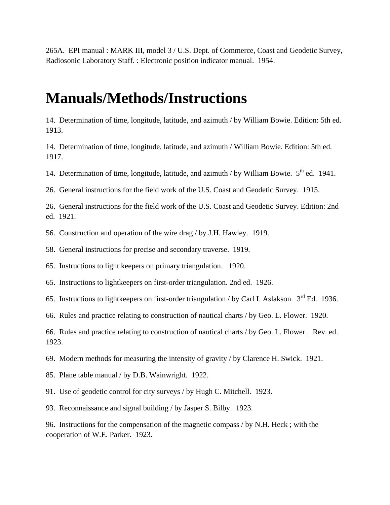265A. EPI manual : MARK III, model 3 / U.S. Dept. of Commerce, Coast and Geodetic Survey, Radiosonic Laboratory Staff. : Electronic position indicator manual. 1954.

## **Manuals/Methods/Instructions**

14. Determination of time, longitude, latitude, and azimuth / by William Bowie. Edition: 5th ed. 1913.

14. Determination of time, longitude, latitude, and azimuth / William Bowie. Edition: 5th ed. 1917.

14. Determination of time, longitude, latitude, and azimuth / by William Bowie.  $5<sup>th</sup>$  ed. 1941.

26. General instructions for the field work of the U.S. Coast and Geodetic Survey. 1915.

26. General instructions for the field work of the U.S. Coast and Geodetic Survey. Edition: 2nd ed. 1921.

56. Construction and operation of the wire drag / by J.H. Hawley. 1919.

58. General instructions for precise and secondary traverse. 1919.

65. Instructions to light keepers on primary triangulation. 1920.

65. Instructions to lightkeepers on first-order triangulation. 2nd ed. 1926.

65. Instructions to lightkeepers on first-order triangulation / by Carl I. Aslakson.  $3<sup>rd</sup>$  Ed. 1936.

66. Rules and practice relating to construction of nautical charts / by Geo. L. Flower. 1920.

66. Rules and practice relating to construction of nautical charts / by Geo. L. Flower . Rev. ed. 1923.

69. Modern methods for measuring the intensity of gravity / by Clarence H. Swick. 1921.

- 85. Plane table manual / by D.B. Wainwright. 1922.
- 91. Use of geodetic control for city surveys / by Hugh C. Mitchell. 1923.

93. Reconnaissance and signal building / by Jasper S. Bilby. 1923.

96. Instructions for the compensation of the magnetic compass / by N.H. Heck ; with the cooperation of W.E. Parker. 1923.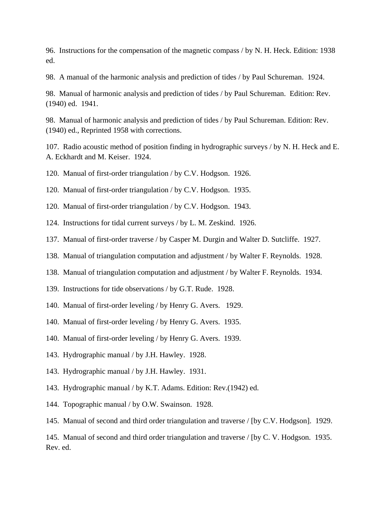96. Instructions for the compensation of the magnetic compass / by N. H. Heck. Edition: 1938 ed.

98. A manual of the harmonic analysis and prediction of tides / by Paul Schureman. 1924.

98. Manual of harmonic analysis and prediction of tides / by Paul Schureman. Edition: Rev. (1940) ed. 1941.

98. Manual of harmonic analysis and prediction of tides / by Paul Schureman. Edition: Rev. (1940) ed., Reprinted 1958 with corrections.

107. Radio acoustic method of position finding in hydrographic surveys / by N. H. Heck and E. A. Eckhardt and M. Keiser. 1924.

120. Manual of first-order triangulation / by C.V. Hodgson. 1926.

120. Manual of first-order triangulation / by C.V. Hodgson. 1935.

- 120. Manual of first-order triangulation / by C.V. Hodgson. 1943.
- 124. Instructions for tidal current surveys / by L. M. Zeskind. 1926.
- 137. Manual of first-order traverse / by Casper M. Durgin and Walter D. Sutcliffe. 1927.
- 138. Manual of triangulation computation and adjustment / by Walter F. Reynolds. 1928.
- 138. Manual of triangulation computation and adjustment / by Walter F. Reynolds. 1934.
- 139. Instructions for tide observations / by G.T. Rude. 1928.
- 140. Manual of first-order leveling / by Henry G. Avers. 1929.
- 140. Manual of first-order leveling / by Henry G. Avers. 1935.
- 140. Manual of first-order leveling / by Henry G. Avers. 1939.
- 143. Hydrographic manual / by J.H. Hawley. 1928.
- 143. Hydrographic manual / by J.H. Hawley. 1931.
- 143. Hydrographic manual / by K.T. Adams. Edition: Rev.(1942) ed.
- 144. Topographic manual / by O.W. Swainson. 1928.
- 145. Manual of second and third order triangulation and traverse / [by C.V. Hodgson]. 1929.

145. Manual of second and third order triangulation and traverse / [by C. V. Hodgson. 1935. Rev. ed.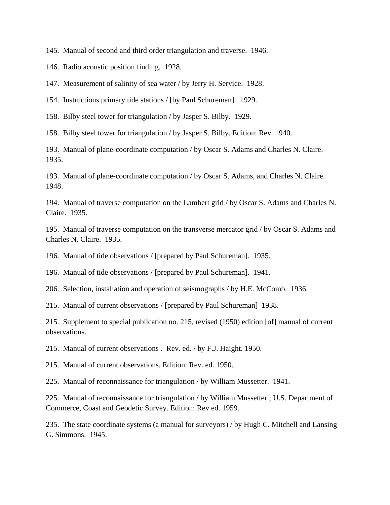145. Manual of second and third order triangulation and traverse. 1946.

146. Radio acoustic position finding. 1928.

147. Measurement of salinity of sea water / by Jerry H. Service. 1928.

154. Instructions primary tide stations / [by Paul Schureman]. 1929.

158. Bilby steel tower for triangulation / by Jasper S. Bilby. 1929.

158. Bilby steel tower for triangulation / by Jasper S. Bilby. Edition: Rev. 1940.

193. Manual of plane-coordinate computation / by Oscar S. Adams and Charles N. Claire. 1935.

193. Manual of plane-coordinate computation / by Oscar S. Adams, and Charles N. Claire. 1948.

194. Manual of traverse computation on the Lambert grid / by Oscar S. Adams and Charles N. Claire. 1935.

195. Manual of traverse computation on the transverse mercator grid / by Oscar S. Adams and Charles N. Claire. 1935.

196. Manual of tide observations / [prepared by Paul Schureman]. 1935.

196. Manual of tide observations / [prepared by Paul Schureman]. 1941.

206. Selection, installation and operation of seismographs / by H.E. McComb. 1936.

215. Manual of current observations / [prepared by Paul Schureman] 1938.

215. Supplement to special publication no. 215, revised (1950) edition [of] manual of current observations.

215. Manual of current observations . Rev. ed. / by F.J. Haight. 1950.

215. Manual of current observations. Edition: Rev. ed. 1950.

225. Manual of reconnaissance for triangulation / by William Mussetter. 1941.

225. Manual of reconnaissance for triangulation / by William Mussetter ; U.S. Department of Commerce, Coast and Geodetic Survey. Edition: Rev ed. 1959.

235. The state coordinate systems (a manual for surveyors) / by Hugh C. Mitchell and Lansing G. Simmons. 1945.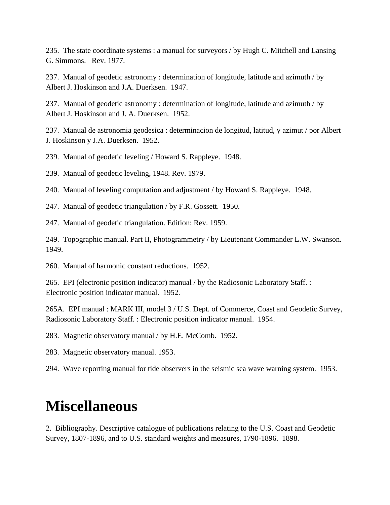235. The state coordinate systems : a manual for surveyors / by Hugh C. Mitchell and Lansing G. Simmons. Rev. 1977.

237. Manual of geodetic astronomy : determination of longitude, latitude and azimuth / by Albert J. Hoskinson and J.A. Duerksen. 1947.

237. Manual of geodetic astronomy : determination of longitude, latitude and azimuth / by Albert J. Hoskinson and J. A. Duerksen. 1952.

237. Manual de astronomia geodesica : determinacion de longitud, latitud, y azimut / por Albert J. Hoskinson y J.A. Duerksen. 1952.

239. Manual of geodetic leveling / Howard S. Rappleye. 1948.

239. Manual of geodetic leveling, 1948. Rev. 1979.

240. Manual of leveling computation and adjustment / by Howard S. Rappleye. 1948.

247. Manual of geodetic triangulation / by F.R. Gossett. 1950.

247. Manual of geodetic triangulation. Edition: Rev. 1959.

249. Topographic manual. Part II, Photogrammetry / by Lieutenant Commander L.W. Swanson. 1949.

260. Manual of harmonic constant reductions. 1952.

265. EPI (electronic position indicator) manual / by the Radiosonic Laboratory Staff. : Electronic position indicator manual. 1952.

265A. EPI manual : MARK III, model 3 / U.S. Dept. of Commerce, Coast and Geodetic Survey, Radiosonic Laboratory Staff. : Electronic position indicator manual. 1954.

283. Magnetic observatory manual / by H.E. McComb. 1952.

283. Magnetic observatory manual. 1953.

294. Wave reporting manual for tide observers in the seismic sea wave warning system. 1953.

## **Miscellaneous**

2. Bibliography. Descriptive catalogue of publications relating to the U.S. Coast and Geodetic Survey, 1807-1896, and to U.S. standard weights and measures, 1790-1896. 1898.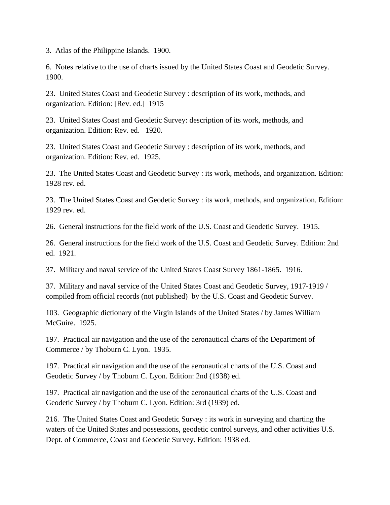3. Atlas of the Philippine Islands. 1900.

6. Notes relative to the use of charts issued by the United States Coast and Geodetic Survey. 1900.

23. United States Coast and Geodetic Survey : description of its work, methods, and organization. Edition: [Rev. ed.] 1915

23. United States Coast and Geodetic Survey: description of its work, methods, and organization. Edition: Rev. ed. 1920.

23. United States Coast and Geodetic Survey : description of its work, methods, and organization. Edition: Rev. ed. 1925.

23. The United States Coast and Geodetic Survey : its work, methods, and organization. Edition: 1928 rev. ed.

23. The United States Coast and Geodetic Survey : its work, methods, and organization. Edition: 1929 rev. ed.

26. General instructions for the field work of the U.S. Coast and Geodetic Survey. 1915.

26. General instructions for the field work of the U.S. Coast and Geodetic Survey. Edition: 2nd ed. 1921.

37. Military and naval service of the United States Coast Survey 1861-1865. 1916.

37. Military and naval service of the United States Coast and Geodetic Survey, 1917-1919 / compiled from official records (not published) by the U.S. Coast and Geodetic Survey.

103. Geographic dictionary of the Virgin Islands of the United States / by James William McGuire. 1925.

197. Practical air navigation and the use of the aeronautical charts of the Department of Commerce / by Thoburn C. Lyon. 1935.

197. Practical air navigation and the use of the aeronautical charts of the U.S. Coast and Geodetic Survey / by Thoburn C. Lyon. Edition: 2nd (1938) ed.

197. Practical air navigation and the use of the aeronautical charts of the U.S. Coast and Geodetic Survey / by Thoburn C. Lyon. Edition: 3rd (1939) ed.

216. The United States Coast and Geodetic Survey : its work in surveying and charting the waters of the United States and possessions, geodetic control surveys, and other activities U.S. Dept. of Commerce, Coast and Geodetic Survey. Edition: 1938 ed.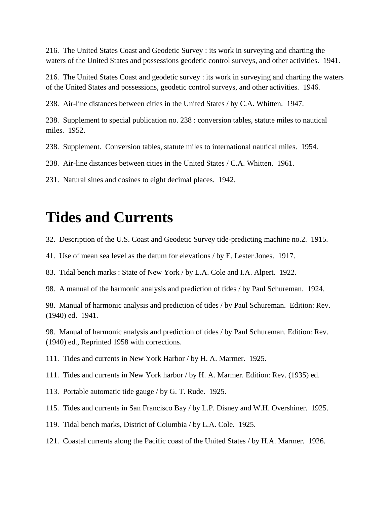216. The United States Coast and Geodetic Survey : its work in surveying and charting the waters of the United States and possessions geodetic control surveys, and other activities. 1941.

216. The United States Coast and geodetic survey : its work in surveying and charting the waters of the United States and possessions, geodetic control surveys, and other activities. 1946.

238. Air-line distances between cities in the United States / by C.A. Whitten. 1947.

238. Supplement to special publication no. 238 : conversion tables, statute miles to nautical miles. 1952.

238. Supplement. Conversion tables, statute miles to international nautical miles. 1954.

238. Air-line distances between cities in the United States / C.A. Whitten. 1961.

231. Natural sines and cosines to eight decimal places. 1942.

## **Tides and Currents**

32. Description of the U.S. Coast and Geodetic Survey tide-predicting machine no.2. 1915.

41. Use of mean sea level as the datum for elevations / by E. Lester Jones. 1917.

83. Tidal bench marks : State of New York / by L.A. Cole and I.A. Alpert. 1922.

98. A manual of the harmonic analysis and prediction of tides / by Paul Schureman. 1924.

98. Manual of harmonic analysis and prediction of tides / by Paul Schureman. Edition: Rev. (1940) ed. 1941.

98. Manual of harmonic analysis and prediction of tides / by Paul Schureman. Edition: Rev. (1940) ed., Reprinted 1958 with corrections.

111. Tides and currents in New York Harbor / by H. A. Marmer. 1925.

111. Tides and currents in New York harbor / by H. A. Marmer. Edition: Rev. (1935) ed.

113. Portable automatic tide gauge / by G. T. Rude. 1925.

115. Tides and currents in San Francisco Bay / by L.P. Disney and W.H. Overshiner. 1925.

119. Tidal bench marks, District of Columbia / by L.A. Cole. 1925.

121. Coastal currents along the Pacific coast of the United States / by H.A. Marmer. 1926.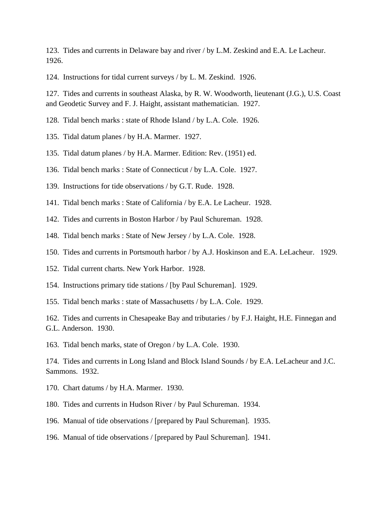123. Tides and currents in Delaware bay and river / by L.M. Zeskind and E.A. Le Lacheur. 1926.

124. Instructions for tidal current surveys / by L. M. Zeskind. 1926.

127. Tides and currents in southeast Alaska, by R. W. Woodworth, lieutenant (J.G.), U.S. Coast and Geodetic Survey and F. J. Haight, assistant mathematician. 1927.

128. Tidal bench marks : state of Rhode Island / by L.A. Cole. 1926.

- 135. Tidal datum planes / by H.A. Marmer. 1927.
- 135. Tidal datum planes / by H.A. Marmer. Edition: Rev. (1951) ed.

136. Tidal bench marks : State of Connecticut / by L.A. Cole. 1927.

139. Instructions for tide observations / by G.T. Rude. 1928.

- 141. Tidal bench marks : State of California / by E.A. Le Lacheur. 1928.
- 142. Tides and currents in Boston Harbor / by Paul Schureman. 1928.
- 148. Tidal bench marks : State of New Jersey / by L.A. Cole. 1928.
- 150. Tides and currents in Portsmouth harbor / by A.J. Hoskinson and E.A. LeLacheur. 1929.
- 152. Tidal current charts. New York Harbor. 1928.
- 154. Instructions primary tide stations / [by Paul Schureman]. 1929.
- 155. Tidal bench marks : state of Massachusetts / by L.A. Cole. 1929.

162. Tides and currents in Chesapeake Bay and tributaries / by F.J. Haight, H.E. Finnegan and G.L. Anderson. 1930.

163. Tidal bench marks, state of Oregon / by L.A. Cole. 1930.

174. Tides and currents in Long Island and Block Island Sounds / by E.A. LeLacheur and J.C. Sammons. 1932.

- 170. Chart datums / by H.A. Marmer. 1930.
- 180. Tides and currents in Hudson River / by Paul Schureman. 1934.
- 196. Manual of tide observations / [prepared by Paul Schureman]. 1935.
- 196. Manual of tide observations / [prepared by Paul Schureman]. 1941.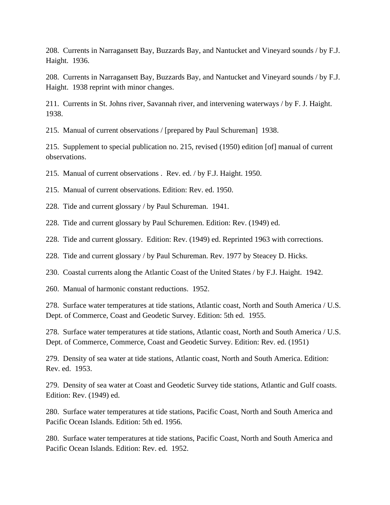208. Currents in Narragansett Bay, Buzzards Bay, and Nantucket and Vineyard sounds / by F.J. Haight. 1936.

208. Currents in Narragansett Bay, Buzzards Bay, and Nantucket and Vineyard sounds / by F.J. Haight. 1938 reprint with minor changes.

211. Currents in St. Johns river, Savannah river, and intervening waterways / by F. J. Haight. 1938.

215. Manual of current observations / [prepared by Paul Schureman] 1938.

215. Supplement to special publication no. 215, revised (1950) edition [of] manual of current observations.

215. Manual of current observations . Rev. ed. / by F.J. Haight. 1950.

215. Manual of current observations. Edition: Rev. ed. 1950.

228. Tide and current glossary / by Paul Schureman. 1941.

228. Tide and current glossary by Paul Schuremen. Edition: Rev. (1949) ed.

228. Tide and current glossary. Edition: Rev. (1949) ed. Reprinted 1963 with corrections.

228. Tide and current glossary / by Paul Schureman. Rev. 1977 by Steacey D. Hicks.

230. Coastal currents along the Atlantic Coast of the United States / by F.J. Haight. 1942.

260. Manual of harmonic constant reductions. 1952.

278. Surface water temperatures at tide stations, Atlantic coast, North and South America / U.S. Dept. of Commerce, Coast and Geodetic Survey. Edition: 5th ed. 1955.

278. Surface water temperatures at tide stations, Atlantic coast, North and South America / U.S. Dept. of Commerce, Commerce, Coast and Geodetic Survey. Edition: Rev. ed. (1951)

279. Density of sea water at tide stations, Atlantic coast, North and South America. Edition: Rev. ed. 1953.

279. Density of sea water at Coast and Geodetic Survey tide stations, Atlantic and Gulf coasts. Edition: Rev. (1949) ed.

280. Surface water temperatures at tide stations, Pacific Coast, North and South America and Pacific Ocean Islands. Edition: 5th ed. 1956.

280. Surface water temperatures at tide stations, Pacific Coast, North and South America and Pacific Ocean Islands. Edition: Rev. ed. 1952.